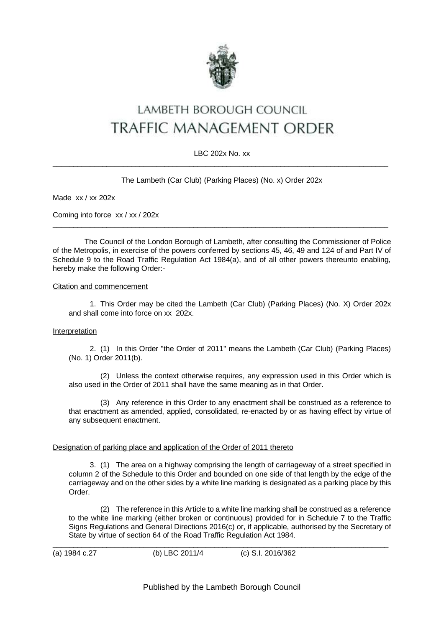

# LAMBETH BOROUGH COUNCIL TRAFFIC MANAGEMENT ORDER

## LBC 202x No. xx \_\_\_\_\_\_\_\_\_\_\_\_\_\_\_\_\_\_\_\_\_\_\_\_\_\_\_\_\_\_\_\_\_\_\_\_\_\_\_\_\_\_\_\_\_\_\_\_\_\_\_\_\_\_\_\_\_\_\_\_\_\_\_\_\_\_\_\_\_\_\_\_\_\_\_\_\_\_\_\_\_

## The Lambeth (Car Club) (Parking Places) (No. x) Order 202x

Made xx / xx 202x

Coming into force xx / xx / 202x

The Council of the London Borough of Lambeth, after consulting the Commissioner of Police of the Metropolis, in exercise of the powers conferred by sections 45, 46, 49 and 124 of and Part IV of Schedule 9 to the Road Traffic Regulation Act 1984(a), and of all other powers thereunto enabling, hereby make the following Order:-

 $\_$  , and the set of the set of the set of the set of the set of the set of the set of the set of the set of the set of the set of the set of the set of the set of the set of the set of the set of the set of the set of th

#### Citation and commencement

1. This Order may be cited the Lambeth (Car Club) (Parking Places) (No. X) Order 202x and shall come into force on xx 202x.

#### Interpretation

2. (1) In this Order "the Order of 2011" means the Lambeth (Car Club) (Parking Places) (No. 1) Order 2011(b).

(2) Unless the context otherwise requires, any expression used in this Order which is also used in the Order of 2011 shall have the same meaning as in that Order.

(3) Any reference in this Order to any enactment shall be construed as a reference to that enactment as amended, applied, consolidated, re-enacted by or as having effect by virtue of any subsequent enactment.

## Designation of parking place and application of the Order of 2011 thereto

3. (1) The area on a highway comprising the length of carriageway of a street specified in column 2 of the Schedule to this Order and bounded on one side of that length by the edge of the carriageway and on the other sides by a white line marking is designated as a parking place by this Order.

(2) The reference in this Article to a white line marking shall be construed as a reference to the white line marking (either broken or continuous) provided for in Schedule 7 to the Traffic Signs Regulations and General Directions 2016(c) or, if applicable, authorised by the Secretary of State by virtue of section 64 of the Road Traffic Regulation Act 1984.

(a) 1984 c.27 (b) LBC 2011/4 (c) S.I. 2016/362

\_\_\_\_\_\_\_\_\_\_\_\_\_\_\_\_\_\_\_\_\_\_\_\_\_\_\_\_\_\_\_\_\_\_\_\_\_\_\_\_\_\_\_\_\_\_\_\_\_\_\_\_\_\_\_\_\_\_\_\_\_\_\_\_\_\_\_\_\_\_\_\_\_\_\_\_\_\_\_\_\_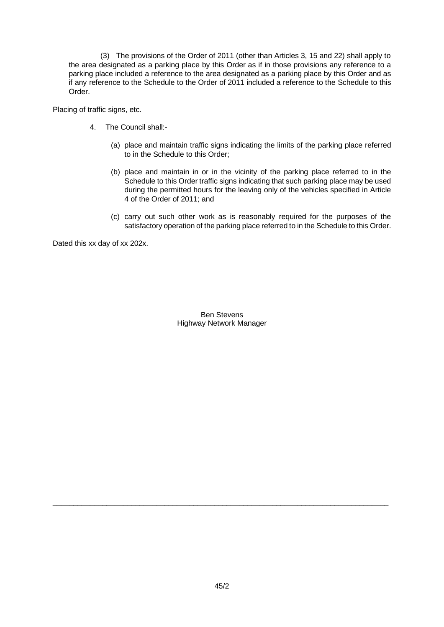(3) The provisions of the Order of 2011 (other than Articles 3, 15 and 22) shall apply to the area designated as a parking place by this Order as if in those provisions any reference to a parking place included a reference to the area designated as a parking place by this Order and as if any reference to the Schedule to the Order of 2011 included a reference to the Schedule to this Order.

Placing of traffic signs, etc.

- 4. The Council shall:-
	- (a) place and maintain traffic signs indicating the limits of the parking place referred to in the Schedule to this Order;
	- (b) place and maintain in or in the vicinity of the parking place referred to in the Schedule to this Order traffic signs indicating that such parking place may be used during the permitted hours for the leaving only of the vehicles specified in Article 4 of the Order of 2011; and
	- (c) carry out such other work as is reasonably required for the purposes of the satisfactory operation of the parking place referred to in the Schedule to this Order.

Dated this xx day of xx 202x.

Ben Stevens Highway Network Manager

\_\_\_\_\_\_\_\_\_\_\_\_\_\_\_\_\_\_\_\_\_\_\_\_\_\_\_\_\_\_\_\_\_\_\_\_\_\_\_\_\_\_\_\_\_\_\_\_\_\_\_\_\_\_\_\_\_\_\_\_\_\_\_\_\_\_\_\_\_\_\_\_\_\_\_\_\_\_\_\_\_